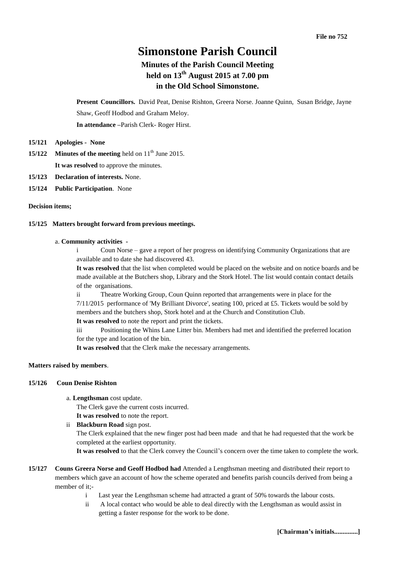# **Simonstone Parish Council**

# **Minutes of the Parish Council Meeting held on 13 th August 2015 at 7.00 pm in the Old School Simonstone.**

**Present Councillors.** David Peat, Denise Rishton, Greera Norse. Joanne Quinn, Susan Bridge, Jayne Shaw, Geoff Hodbod and Graham Meloy.

**In attendance –**Parish Clerk- Roger Hirst.

- **15/121 Apologies - None**
- **15/122 Minutes of the meeting** held on 11<sup>th</sup> June 2015. **It was resolved** to approve the minutes.
- **15/123 Declaration of interests.** None.
- **15/124 Public Participation**. None

#### **Decision items;**

# **15/125 Matters brought forward from previous meetings.**

#### a. **Community activities -**

i Coun Norse – gave a report of her progress on identifying Community Organizations that are available and to date she had discovered 43.

**It was resolved** that the list when completed would be placed on the website and on notice boards and be made available at the Butchers shop, Library and the Stork Hotel. The list would contain contact details of the organisations.

Theatre Working Group, Coun Quinn reported that arrangements were in place for the 7/11/2015 performance of 'My Brilliant Divorce', seating 100, priced at £5. Tickets would be sold by members and the butchers shop, Stork hotel and at the Church and Constitution Club.

**It was resolved** to note the report and print the tickets.

iii Positioning the Whins Lane Litter bin. Members had met and identified the preferred location for the type and location of the bin.

**It was resolved** that the Clerk make the necessary arrangements.

# **Matters raised by members**.

#### **15/126 Coun Denise Rishton**

a. **Lengthsman** cost update.

The Clerk gave the current costs incurred.

**It was resolved** to note the report.

ii **Blackburn Road** sign post.

The Clerk explained that the new finger post had been made and that he had requested that the work be completed at the earliest opportunity.

**It was resolved** to that the Clerk convey the Council's concern over the time taken to complete the work.

- **15/127 Couns Greera Norse and Geoff Hodbod had** Attended a Lengthsman meeting and distributed their report to members which gave an account of how the scheme operated and benefits parish councils derived from being a member of it;
	- i Last year the Lengthsman scheme had attracted a grant of 50% towards the labour costs.
	- ii A local contact who would be able to deal directly with the Lengthsman as would assist in getting a faster response for the work to be done.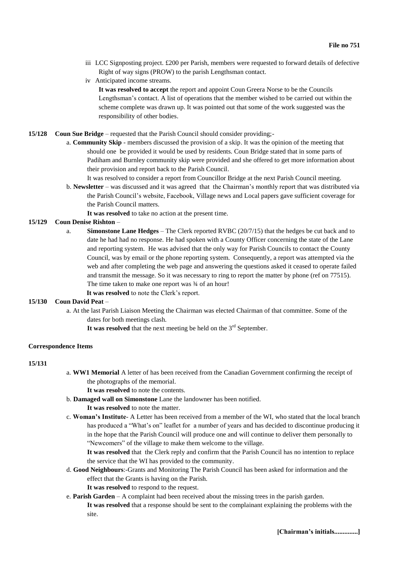- iii LCC Signposting project. £200 per Parish, members were requested to forward details of defective Right of way signs (PROW) to the parish Lengthsman contact.
- iv Anticipated income streams.

**It was resolved to accept** the report and appoint Coun Greera Norse to be the Councils Lengthsman's contact. A list of operations that the member wished to be carried out within the scheme complete was drawn up. It was pointed out that some of the work suggested was the responsibility of other bodies.

- **15/128 Coun Sue Bridge** requested that the Parish Council should consider providing;
	- a. **Community Skip** members discussed the provision of a skip. It was the opinion of the meeting that should one be provided it would be used by residents. Coun Bridge stated that in some parts of Padiham and Burnley community skip were provided and she offered to get more information about their provision and report back to the Parish Council.
		- It was resolved to consider a report from Councillor Bridge at the next Parish Council meeting.
	- b. **Newsletter** was discussed and it was agreed that the Chairman's monthly report that was distributed via the Parish Council's website, Facebook, Village news and Local papers gave sufficient coverage for the Parish Council matters.
		- **It was resolved** to take no action at the present time.

# **15/129 Coun Denise Rishton** –

a. **Simonstone Lane Hedges** – The Clerk reported RVBC (20/7/15) that the hedges be cut back and to date he had had no response. He had spoken with a County Officer concerning the state of the Lane and reporting system. He was advised that the only way for Parish Councils to contact the County Council, was by email or the phone reporting system. Consequently, a report was attempted via the web and after completing the web page and answering the questions asked it ceased to operate failed and transmit the message. So it was necessary to ring to report the matter by phone (ref on 77515). The time taken to make one report was  $\frac{3}{4}$  of an hour!

 **It was resolved** to note the Clerk's report.

#### **15/130 Coun David Peat** –

- a. At the last Parish Liaison Meeting the Chairman was elected Chairman of that committee. Some of the dates for both meetings clash.
	- It was resolved that the next meeting be held on the  $3<sup>rd</sup>$  September.

#### **Correspondence Items**

#### **15/131**

- a. **WW1 Memorial** A letter of has been received from the Canadian Government confirming the receipt of the photographs of the memorial.
	- **It was resolved** to note the contents.
- b. **Damaged wall on Simonstone** Lane the landowner has been notified.
	- **It was resolved** to note the matter.
- c. **Woman's Institute** A Letter has been received from a member of the WI, who stated that the local branch has produced a "What's on" leaflet for a number of years and has decided to discontinue producing it in the hope that the Parish Council will produce one and will continue to deliver them personally to "Newcomers" of the village to make them welcome to the village.

**It was resolved** that the Clerk reply and confirm that the Parish Council has no intention to replace the service that the WI has provided to the community.

- d. **Good Neighbours**:-Grants and Monitoring The Parish Council has been asked for information and the effect that the Grants is having on the Parish.
	- **It was resolved** to respond to the request.
- e. **Parish Garden** A complaint had been received about the missing trees in the parish garden. **It was resolved** that a response should be sent to the complainant explaining the problems with the site.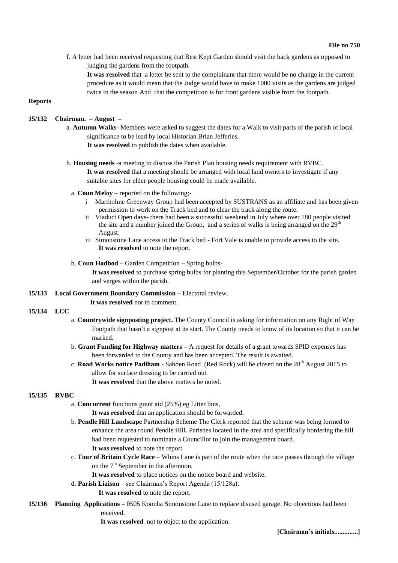f. A letter had been received requesting that Best Kept Garden should visit the back gardens as opposed to judging the gardens from the footpath.

**It was resolved** that a letter be sent to the complainant that there would be no change in the current procedure as it would mean that the Judge would have to make 1000 visits as the gardens are judged twice in the season And that the competition is for front gardens visible from the footpath.

# **Reports**

# **15/132 Chairman. – August –**

a. **Autumn Walks**- Members were asked to suggest the dates for a Walk to visit parts of the parish of local significance to be lead by local Historian Brian Jefferies.

**It was resolved** to publish the dates when available.

b. **Housing needs** -a meeting to discuss the Parish Plan housing needs requirement with RVBC.

**It was resolved** that a meeting should be arranged with local land owners to investigate if any suitable sites for elder people housing could be made available.

- a. **Coun Meloy** reported on the following;
	- i Martholme Greenway Group had been accepted by SUSTRANS as an affiliate and has been given permission to work on the Track bed and to clear the track along the route.
	- ii Viaduct Open days- there had been a successful weekend in July where over 180 people visited the site and a number joined the Group, and a series of walks is being arranged on the  $29<sup>th</sup>$ August.
	- iii Simonstone Lane access to the Track bed Fort Vale is unable to provide access to the site. **It was resolved** to note the report.

#### b. **Coun Hodbod** – Garden Competition – Spring bulbs-

**It was resolved** to purchase spring bulbs for planting this September/October for the parish garden and verges within the parish.

**15/133 Local Government Boundary Commission –** Electoral review.

# **It was resolved** not to comment.

.

# **15/134 LCC**

- a. **Countrywide signposting project.** The County Council is asking for information on any Right of Way Footpath that hasn't a signpost at its start. The County needs to know of its location so that it can be marked.
- b. **Grant Funding for Highway matters –** A request for details of a grant towards SPID expenses has been forwarded to the County and has been accepted. The result is awaited.
- c. Road Works notice Padiham Sabden Road. (Red Rock) will be closed on the 28<sup>th</sup> August 2015 to allow for surface dressing to be carried out.

**It was resolved** that the above matters be noted.

#### **15/135 RVBC**

- a. **Concurrent** functions grant aid (25%) eg Litter bins,
	- **It was resolved** that an application should be forwarded.
- b. **Pendle Hill Landscape** Partnership Scheme The Clerk reported that the scheme was being formed to enhance the area round Pendle Hill. Parishes located in the area and specifically bordering the hill had been requested to nominate a Councillor to join the management board. **It was resolved** to note the report.
- c. **Tour of Britain Cycle Race** Whins Lane is part of the route when the race passes through the village on the  $7<sup>th</sup>$  September in the afternoon.
	- It was resolved to place notices on the notice board and website.
- d. **Parish Liaison** see Chairman's Report Agenda (15/128a).
	- **It was resolved** to note the report.
- **15/136 Planning Applications –** 0505 Koonha Simonstone Lane to replace disused garage. No objections had been received.

**It was resolved** not to object to the application.